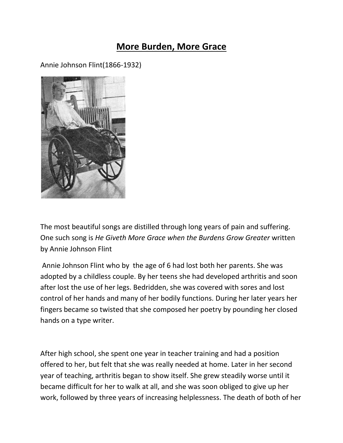## **More Burden, More Grace**

Annie Johnson Flint(1866-1932)



The most beautiful songs are distilled through long years of pain and suffering. One such song is *He Giveth More Grace when the Burdens Grow Greater* written by Annie Johnson Flint

Annie Johnson Flint who by the age of 6 had lost both her parents. She was adopted by a childless couple. By her teens she had developed arthritis and soon after lost the use of her legs. Bedridden, she was covered with sores and lost control of her hands and many of her bodily functions. During her later years her fingers became so twisted that she composed her poetry by pounding her closed hands on a type writer.

After high school, she spent one year in teacher training and had a position offered to her, but felt that she was really needed at home. Later in her second year of teaching, arthritis began to show itself. She grew steadily worse until it became difficult for her to walk at all, and she was soon obliged to give up her work, followed by three years of increasing helplessness. The death of both of her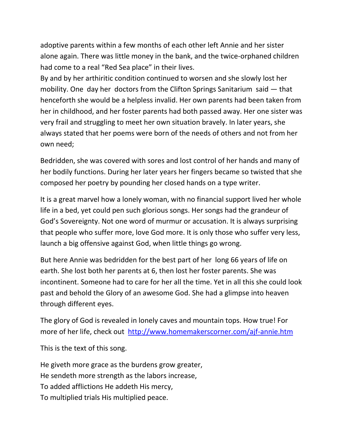adoptive parents within a few months of each other left Annie and her sister alone again. There was little money in the bank, and the twice-orphaned children had come to a real "Red Sea place" in their lives.

By and by her arthiritic condition continued to worsen and she slowly lost her mobility. One day her doctors from the Clifton Springs Sanitarium said — that henceforth she would be a helpless invalid. Her own parents had been taken from her in childhood, and her foster parents had both passed away. Her one sister was very frail and struggling to meet her own situation bravely. In later years, she always stated that her poems were born of the needs of others and not from her own need;

Bedridden, she was covered with sores and lost control of her hands and many of her bodily functions. During her later years her fingers became so twisted that she composed her poetry by pounding her closed hands on a type writer.

It is a great marvel how a lonely woman, with no financial support lived her whole life in a bed, yet could pen such glorious songs. Her songs had the grandeur of God's Sovereignty. Not one word of murmur or accusation. It is always surprising that people who suffer more, love God more. It is only those who suffer very less, launch a big offensive against God, when little things go wrong.

But here Annie was bedridden for the best part of her long 66 years of life on earth. She lost both her parents at 6, then lost her foster parents. She was incontinent. Someone had to care for her all the time. Yet in all this she could look past and behold the Glory of an awesome God. She had a glimpse into heaven through different eyes.

The glory of God is revealed in lonely caves and mountain tops. How true! For more of her life, check out <http://www.homemakerscorner.com/ajf-annie.htm>

This is the text of this song.

He giveth more grace as the burdens grow greater, He sendeth more strength as the labors increase, To added afflictions He addeth His mercy, To multiplied trials His multiplied peace.